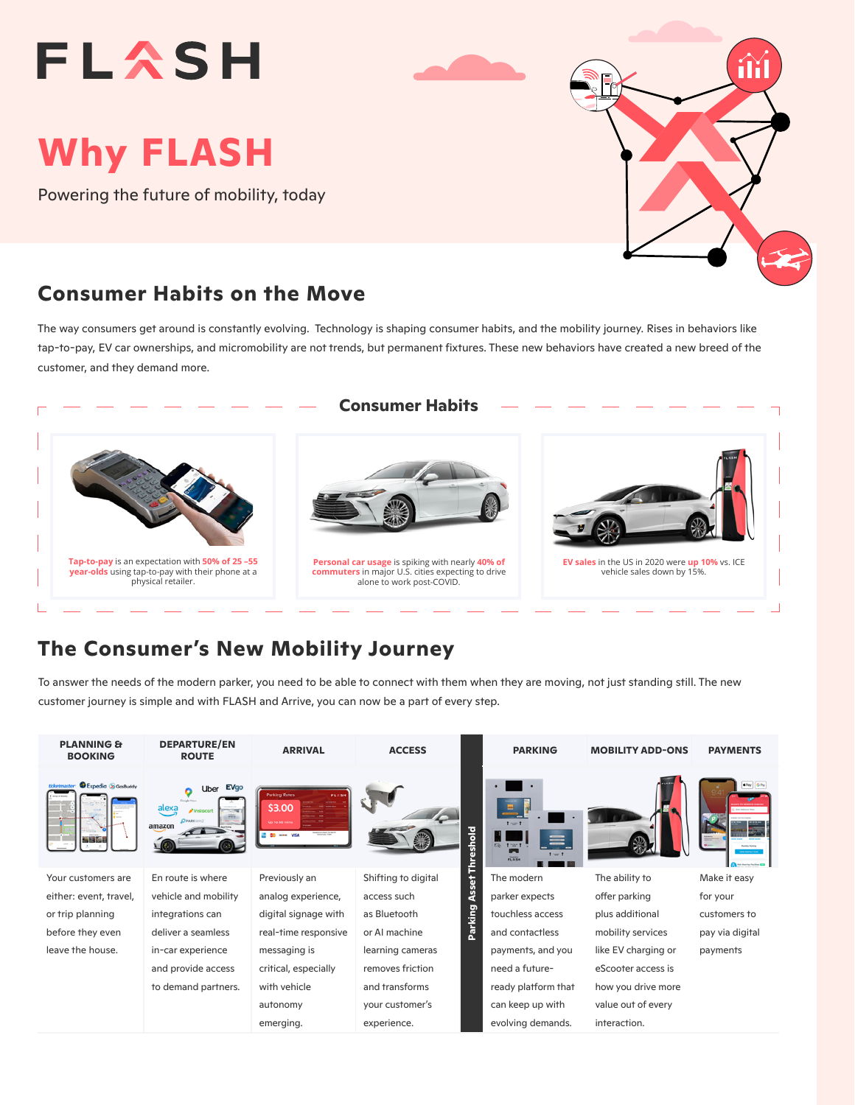# **FLASH**

## **Why FLASH**

Powering the future of mobility, today

#### **Consumer Habits on the Move**

The way consumers get around is constantly evolving. Technology is shaping consumer habits, and the mobility journey. Rises in behaviors like tap-to-pay, EV car ownerships, and micromobility are not trends, but permanent fixtures. These new behaviors have created a new breed of the customer, and they demand more.



### **The Consumer's New Mobility Journey**

To answer the needs of the modern parker, you need to be able to connect with them when they are moving, not just standing still. The new customer journey is simple and with FLASH and Arrive, you can now be a part of every step.

| <b>PLANNING &amp;</b><br><b>BOOKING</b> | <b>DEPARTURE/EN</b><br><b>ROUTE</b>                                                   | <b>ARRIVAL</b>                                                       | <b>ACCESS</b>       |           | <b>PARKING</b>                  | <b>MOBILITY ADD-ONS</b> | <b>PAYMENTS</b>                                |
|-----------------------------------------|---------------------------------------------------------------------------------------|----------------------------------------------------------------------|---------------------|-----------|---------------------------------|-------------------------|------------------------------------------------|
| Expedia & GasBuddy                      | Uber EVgo<br>Google Maps<br>alexa<br><b>A</b> Instacart<br><b>BPARKINHZ</b><br>amazon | <b>Parking Rates</b><br>\$3.00<br>Up to 30 mins<br><b>ED -- VISA</b> |                     | Threshold | $t = 1$<br>$5 - 1 = 1$<br>PLASH |                         | diPay GiPay<br><b>Auto then Facilities COD</b> |
| Your customers are                      | En route is where                                                                     | Previously an                                                        | Shifting to digital |           | The modern                      | The ability to          | Make it easy                                   |
| either: event, travel,                  | vehicle and mobility                                                                  | analog experience,                                                   | access such         | Asset     | parker expects                  | offer parking           | for your                                       |
| or trip planning                        | integrations can                                                                      | digital signage with                                                 | as Bluetooth        | Parking   | touchless access                | plus additional         | customers to                                   |
| before they even                        | deliver a seamless                                                                    | real-time responsive                                                 | or AI machine       |           | and contactless                 | mobility services       | pay via digital                                |
| leave the house.                        | in-car experience                                                                     | messaging is                                                         | learning cameras    |           | payments, and you               | like EV charging or     | payments                                       |
|                                         | and provide access                                                                    | critical, especially                                                 | removes friction    |           | need a future-                  | eScooter access is      |                                                |
|                                         | to demand partners.                                                                   | with vehicle                                                         | and transforms      |           | ready platform that             | how you drive more      |                                                |
|                                         |                                                                                       | autonomy                                                             | your customer's     |           | can keep up with                | value out of every      |                                                |
|                                         |                                                                                       | emerging.                                                            | experience.         |           | evolving demands.               | interaction.            |                                                |